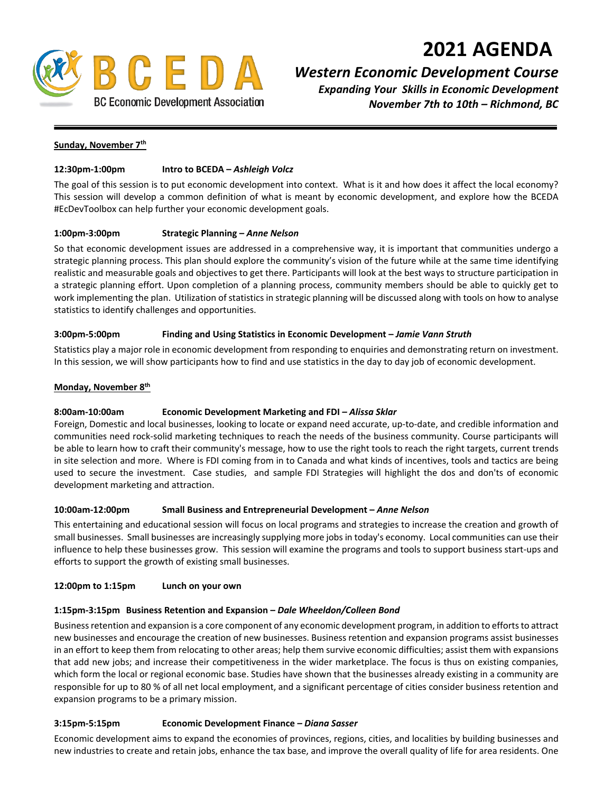# **2021 AGENDA**



# *Western Economic Development Course*

*Expanding Your Skills in Economic Development November 7th to 10th – Richmond, BC*

#### **Sunday, November 7th**

#### **12:30pm-1:00pm Intro to BCEDA –** *Ashleigh Volcz*

The goal of this session is to put economic development into context. What is it and how does it affect the local economy? This session will develop a common definition of what is meant by economic development, and explore how the BCEDA #EcDevToolbox can help further your economic development goals.

#### **1:00pm-3:00pm Strategic Planning –** *Anne Nelson*

So that economic development issues are addressed in a comprehensive way, it is important that communities undergo a strategic planning process. This plan should explore the community's vision of the future while at the same time identifying realistic and measurable goals and objectives to get there. Participants will look at the best ways to structure participation in a strategic planning effort. Upon completion of a planning process, community members should be able to quickly get to work implementing the plan. Utilization of statistics in strategic planning will be discussed along with tools on how to analyse statistics to identify challenges and opportunities.

#### **3:00pm-5:00pm Finding and Using Statistics in Economic Development –** *Jamie Vann Struth*

Statistics play a major role in economic development from responding to enquiries and demonstrating return on investment. In this session, we will show participants how to find and use statistics in the day to day job of economic development.

#### **Monday, November 8th**

# **8:00am-10:00am Economic Development Marketing and FDI** *– Alissa Sklar*

Foreign, Domestic and local businesses, looking to locate or expand need accurate, up-to-date, and credible information and communities need rock-solid marketing techniques to reach the needs of the business community. Course participants will be able to learn how to craft their community's message, how to use the right tools to reach the right targets, current trends in site selection and more. Where is FDI coming from in to Canada and what kinds of incentives, tools and tactics are being used to secure the investment. Case studies, and sample FDI Strategies will highlight the dos and don'ts of economic development marketing and attraction.

#### **10:00am-12:00pm Small Business and Entrepreneurial Development –** *Anne Nelson*

This entertaining and educational session will focus on local programs and strategies to increase the creation and growth of small businesses. Small businesses are increasingly supplying more jobs in today's economy. Local communities can use their influence to help these businesses grow. This session will examine the programs and tools to support business start-ups and efforts to support the growth of existing small businesses.

#### **12:00pm to 1:15pm Lunch on your own**

#### **1:15pm-3:15pm Business Retention and Expansion –** *Dale Wheeldon/Colleen Bond*

Businessretention and expansion is a core component of any economic development program, in addition to efforts to attract new businesses and encourage the creation of new businesses. Business retention and expansion programs assist businesses in an effort to keep them from relocating to other areas; help them survive economic difficulties; assist them with expansions that add new jobs; and increase their competitiveness in the wider marketplace. The focus is thus on existing companies, which form the local or regional economic base. Studies have shown that the businesses already existing in a community are responsible for up to 80 % of all net local employment, and a significant percentage of cities consider business retention and expansion programs to be a primary mission.

#### **3:15pm-5:15pm Economic Development Finance –** *Diana Sasser*

Economic development aims to expand the economies of provinces, regions, cities, and localities by building businesses and new industries to create and retain jobs, enhance the tax base, and improve the overall quality of life for area residents. One